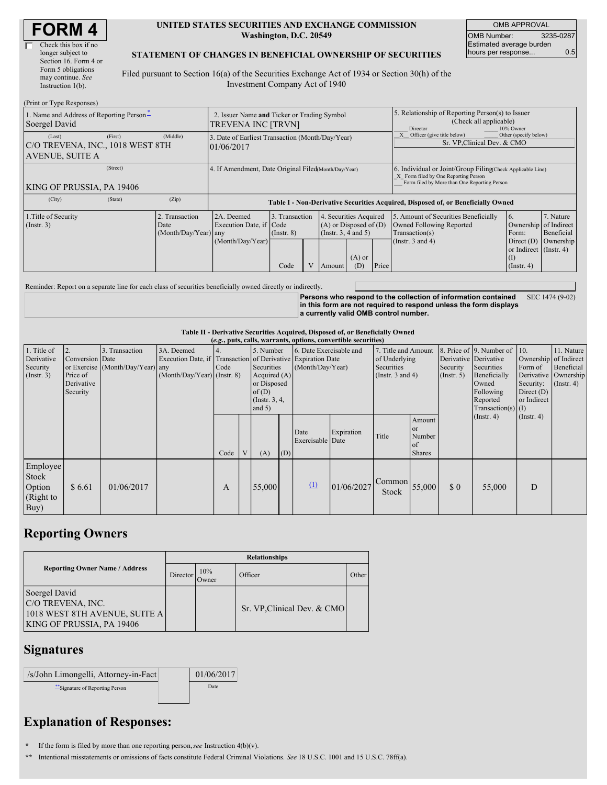| Check this box if no  |
|-----------------------|
| longer subject to     |
| Section 16. Form 4 or |
| Form 5 obligations    |
| may continue. See     |
| Instruction 1(b).     |
|                       |

#### **UNITED STATES SECURITIES AND EXCHANGE COMMISSION Washington, D.C. 20549**

OMB APPROVAL OMB Number: 3235-0287 Estimated average burden hours per response... 0.5

#### **STATEMENT OF CHANGES IN BENEFICIAL OWNERSHIP OF SECURITIES**

Filed pursuant to Section 16(a) of the Securities Exchange Act of 1934 or Section 30(h) of the Investment Company Act of 1940

| (Print or Type Responses)                                            |         |                                                      |                                                                                  |                                   |  |                                                                              |                 |                                                                                                                                                    |                                                                                                             |                                                                 |                                      |  |
|----------------------------------------------------------------------|---------|------------------------------------------------------|----------------------------------------------------------------------------------|-----------------------------------|--|------------------------------------------------------------------------------|-----------------|----------------------------------------------------------------------------------------------------------------------------------------------------|-------------------------------------------------------------------------------------------------------------|-----------------------------------------------------------------|--------------------------------------|--|
| 1. Name and Address of Reporting Person-<br>Soergel David            |         |                                                      | 2. Issuer Name and Ticker or Trading Symbol<br>TREVENA INC [TRVN]                |                                   |  |                                                                              |                 | 5. Relationship of Reporting Person(s) to Issuer<br>(Check all applicable)<br>Director<br>10% Owner                                                |                                                                                                             |                                                                 |                                      |  |
| (Last)<br>C/O TREVENA, INC., 1018 WEST 8TH<br><b>AVENUE, SUITE A</b> | (First) | (Middle)                                             | 3. Date of Earliest Transaction (Month/Day/Year)<br>01/06/2017                   |                                   |  |                                                                              |                 | Other (specify below)<br>Officer (give title below)<br>Sr. VP, Clinical Dev. & CMO                                                                 |                                                                                                             |                                                                 |                                      |  |
| KING OF PRUSSIA, PA 19406                                            |         | 4. If Amendment, Date Original Filed Month/Day/Year) |                                                                                  |                                   |  |                                                                              |                 | 6. Individual or Joint/Group Filing Check Applicable Line)<br>X Form filed by One Reporting Person<br>Form filed by More than One Reporting Person |                                                                                                             |                                                                 |                                      |  |
| (City)                                                               | (State) | (Zip)                                                | Table I - Non-Derivative Securities Acquired, Disposed of, or Beneficially Owned |                                   |  |                                                                              |                 |                                                                                                                                                    |                                                                                                             |                                                                 |                                      |  |
| 1. Title of Security<br>$($ Instr. 3 $)$                             |         | 2. Transaction<br>Date<br>(Month/Day/Year) any       | 2A. Deemed<br>Execution Date, if Code<br>(Month/Day/Year)                        | 3. Transaction<br>$($ Instr. $8)$ |  | 4. Securities Acquired<br>$(A)$ or Disposed of $(D)$<br>(Insert. 3, 4 and 5) |                 |                                                                                                                                                    | 5. Amount of Securities Beneficially<br>Owned Following Reported<br>Transaction(s)<br>(Instr. $3$ and $4$ ) | <sup>6.</sup><br>Ownership of Indirect<br>Form:<br>Direct $(D)$ | 7. Nature<br>Beneficial<br>Ownership |  |
|                                                                      |         |                                                      |                                                                                  | Code                              |  | Amount                                                                       | $(A)$ or<br>(D) | Price                                                                                                                                              |                                                                                                             | or Indirect (Instr. 4)<br>(I)<br>$($ Instr. 4 $)$               |                                      |  |

Reminder: Report on a separate line for each class of securities beneficially owned directly or indirectly.

**Persons who respond to the collection of information contained in this form are not required to respond unless the form displays a currently valid OMB control number.** SEC 1474 (9-02)

### **Table II - Derivative Securities Acquired, Disposed of, or Beneficially Owned**

|                                                      |                                                             |                                                    |                                                                                                             |      |              |                                                                                                   |     |                                             | (e.g., puts, calls, warrants, options, convertible securities) |                                                                             |                                                             |                                                  |                                                                                                                  |                                                                                             |                                                                   |
|------------------------------------------------------|-------------------------------------------------------------|----------------------------------------------------|-------------------------------------------------------------------------------------------------------------|------|--------------|---------------------------------------------------------------------------------------------------|-----|---------------------------------------------|----------------------------------------------------------------|-----------------------------------------------------------------------------|-------------------------------------------------------------|--------------------------------------------------|------------------------------------------------------------------------------------------------------------------|---------------------------------------------------------------------------------------------|-------------------------------------------------------------------|
| 1. Title of<br>Derivative<br>Security<br>(Insert. 3) | 2.<br>Conversion Date<br>Price of<br>Derivative<br>Security | 3. Transaction<br>or Exercise (Month/Day/Year) any | 3A. Deemed<br>Execution Date, if Transaction of Derivative Expiration Date<br>$(Month/Day/Year)$ (Instr. 8) | Code |              | 5. Number<br>Securities<br>Acquired $(A)$<br>or Disposed<br>of(D)<br>(Instr. $3, 4$ ,<br>and $5)$ |     | 6. Date Exercisable and<br>(Month/Day/Year) |                                                                | 7. Title and Amount<br>of Underlying<br>Securities<br>(Instr. $3$ and $4$ ) |                                                             | Derivative Derivative<br>Security<br>(Insert. 5) | 8. Price of 9. Number of<br>Securities<br>Beneficially<br>Owned<br>Following<br>Reported<br>$Transaction(s)$ (I) | $\vert$ 10.<br>Ownership of Indirect<br>Form of<br>Security:<br>Direct $(D)$<br>or Indirect | 11. Nature<br>Beneficial<br>Derivative Ownership<br>$($ Instr. 4) |
|                                                      |                                                             |                                                    |                                                                                                             | Code | $\mathbf{V}$ | (A)                                                                                               | (D) | Date<br>Exercisable Date                    | Expiration                                                     | Title                                                                       | Amount<br><b>or</b><br>Number<br><b>of</b><br><b>Shares</b> |                                                  | $($ Instr. 4 $)$                                                                                                 | $($ Instr. 4 $)$                                                                            |                                                                   |
| Employee<br>Stock<br>Option<br>(Right to<br>Buy)     | \$6.61                                                      | 01/06/2017                                         |                                                                                                             | А    |              | 55,000                                                                                            |     | $\Omega$                                    | 01/06/2027                                                     | Common<br>Stock                                                             | 55,000                                                      | $\Omega$                                         | 55,000                                                                                                           | D                                                                                           |                                                                   |

## **Reporting Owners**

|                                                                                                  | <b>Relationships</b>     |  |                             |       |  |  |  |  |  |
|--------------------------------------------------------------------------------------------------|--------------------------|--|-----------------------------|-------|--|--|--|--|--|
| <b>Reporting Owner Name / Address</b>                                                            | 10%<br>Director<br>Owner |  | Officer                     | Other |  |  |  |  |  |
| Soergel David<br>C/O TREVENA, INC.<br>1018 WEST 8TH AVENUE, SUITE A<br>KING OF PRUSSIA, PA 19406 |                          |  | Sr. VP, Clinical Dev. & CMO |       |  |  |  |  |  |

### **Signatures**

| /s/John Limongelli, Attorney-in-Fact | 01/06/2017 |
|--------------------------------------|------------|
| Signature of Reporting Person        | Date       |

# **Explanation of Responses:**

**\*** If the form is filed by more than one reporting person,*see* Instruction 4(b)(v).

**\*\*** Intentional misstatements or omissions of facts constitute Federal Criminal Violations. *See* 18 U.S.C. 1001 and 15 U.S.C. 78ff(a).